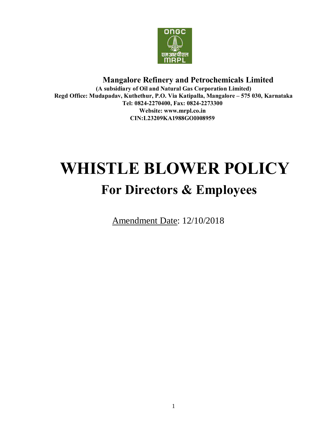

# **Mangalore Refinery and Petrochemicals Limited**

**(A subsidiary of Oil and Natural Gas Corporation Limited) Regd Office: Mudapadav, Kuthethur, P.O. Via Katipalla, Mangalore – 575 030, Karnataka Tel: 0824-2270400, Fax: 0824-2273300 Website: www.mrpl.co.in CIN:L232[09KA1988GOI008](http://www.mrpl.co.in/)959**

# **WHISTLE BLOWER POLICY For Directors & Employees**

Amendment Date: 12/10/2018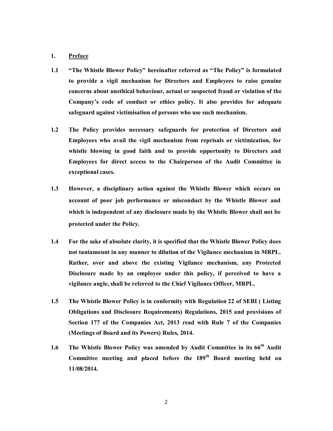#### **1. Preface**

- **1.1 "The Whistle Blower Policy" hereinafter referred as "The Policy" is formulated to provide a vigil mechanism for Directors and Employees to raise genuine concerns about unethical behaviour, actual or suspected fraud or violation of the Company's code of conduct or ethics policy. It also provides for adequate safeguard against victimisation of persons who use such mechanism.**
- **1.2 The Policy provides necessary safeguards for protection of Directors and Employees who avail the vigil mechanism from reprisals or victimization, for whistle blowing in good faith and to provide opportunity to Directors and Employees for direct access to the Chairperson of the Audit Committee in exceptional cases.**
- **1.3 However, a disciplinary action against the Whistle Blower which occurs on account of poor job performance or misconduct by the Whistle Blower and which is independent of any disclosure made by the Whistle Blower shall not be protected under the Policy.**
- **1.4 For the sake of absolute clarity, it is specified that the Whistle Blower Policy does not tantamount in any manner to dilution of the Vigilance mechanism in MRPL. Rather, over and above the existing Vigilance mechanism, any Protected Disclosure made by an employee under this policy, if perceived to have a vigilance angle, shall be referred to the Chief Vigilance Officer, MRPL.**
- **1.5 The Whistle Blower Policy is in conformity with Regulation 22 of SEBI ( Listing Obligations and Disclosure Requirements) Regulations, 2015 and provisions of Section 177 of the Companies Act, 2013 read with Rule 7 of the Companies (Meetings of Board and its Powers) Rules, 2014.**
- **1.6 The Whistle Blower Policy was amended by Audit Committee in its 66th Audit Committee meeting and placed before the 189th Board meeting held on 11/08/2014.**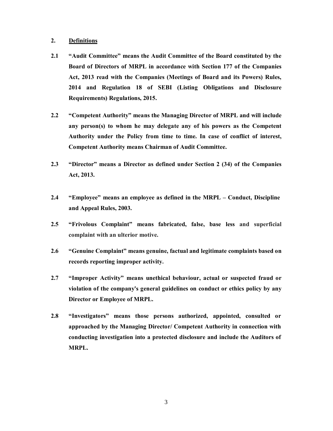### **2. Definitions**

- **2.1 "Audit Committee" means the Audit Committee of the Board constituted by the Board of Directors of MRPL in accordance with Section 177 of the Companies Act, 2013 read with the Companies (Meetings of Board and its Powers) Rules, 2014 and Regulation 18 of SEBI (Listing Obligations and Disclosure Requirements) Regulations, 2015.**
- **2.2 "Competent Authority" means the Managing Director of MRPL and will include any person(s) to whom he may delegate any of his powers as the Competent Authority under the Policy from time to time. In case of conflict of interest, Competent Authority means Chairman of Audit Committee.**
- **2.3 "Director" means a Director as defined under Section 2 (34) of the Companies Act, 2013.**
- **2.4 "Employee" means an employee as defined in the MRPL – Conduct, Discipline and Appeal Rules, 2003.**
- **2.5 "Frivolous Complaint" means fabricated, false, base less and superficial complaint with an ulterior motive.**
- **2.6 "Genuine Complaint" means genuine, factual and legitimate complaints based on records reporting improper activity.**
- **2.7 "Improper Activity" means unethical behaviour, actual or suspected fraud or violation of the company's general guidelines on conduct or ethics policy by any Director or Employee of MRPL.**
- **2.8 "Investigators" means those persons authorized, appointed, consulted or approached by the Managing Director/ Competent Authority in connection with conducting investigation into a protected disclosure and include the Auditors of MRPL.**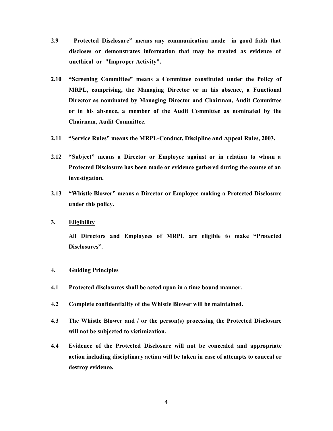- **2.9 Protected Disclosure" means any communication made in good faith that discloses or demonstrates information that may be treated as evidence of unethical or "Improper Activity".**
- **2.10 "Screening Committee" means a Committee constituted under the Policy of MRPL, comprising, the Managing Director or in his absence, a Functional Director as nominated by Managing Director and Chairman, Audit Committee or in his absence, a member of the Audit Committee as nominated by the Chairman, Audit Committee.**
- **2.11 "Service Rules" means the MRPL-Conduct, Discipline and Appeal Rules, 2003.**
- **2.12 "Subject" means a Director or Employee against or in relation to whom a Protected Disclosure has been made or evidence gathered during the course of an investigation.**
- **2.13 "Whistle Blower" means a Director or Employee making a Protected Disclosure under this policy.**
- **3. Eligibility**

**All Directors and Employees of MRPL are eligible to make "Protected Disclosures".**

#### **4. Guiding Principles**

- **4.1 Protected disclosures shall be acted upon in a time bound manner.**
- **4.2 Complete confidentiality of the Whistle Blower will be maintained.**
- **4.3 The Whistle Blower and / or the person(s) processing the Protected Disclosure will not be subjected to victimization.**
- **4.4 Evidence of the Protected Disclosure will not be concealed and appropriate action including disciplinary action will be taken in case of attempts to conceal or destroy evidence.**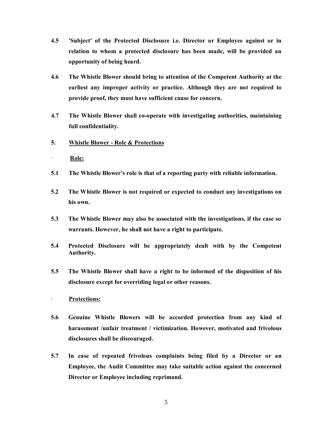- **4.5 'Subject' of the Protected Disclosure i.e. Director or Employee against or in relation to whom a protected disclosure has been made, will be provided an opportunity of being heard.**
- **4.6 The Whistle Blower should bring to attention of the Competent Authority at the earliest any improper activity or practice. Although they are not required to provide proof, they must have sufficient cause for concern.**
- **4.7 The Whistle Blower shall co-operate with investigating authorities, maintaining full confidentiality.**
- **5. Whistle Blower - Role & Protections**
- · **Role:**
- **5.1 The Whistle Blower's role is that of a reporting party with reliable information.**
- **5.2 The Whistle Blower is not required or expected to conduct any investigations on his own.**
- **5.3 The Whistle Blower may also be associated with the investigations, if the case so warrants. However, he shall not have a right to participate.**
- **5.4 Protected Disclosure will be appropriately dealt with by the Competent Authority.**
- **5.5 The Whistle Blower shall have a right to be informed of the disposition of his disclosure except for overriding legal or other reasons.**
- · **Protections:**
- **5.6 Genuine Whistle Blowers will be accorded protection from any kind of harassment /unfair treatment / victimization. However, motivated and frivolous disclosures shall be discouraged.**
- **5.7 In case of repeated frivolous complaints being filed by a Director or an Employee, the Audit Committee may take suitable action against the concerned Director or Employee including reprimand.**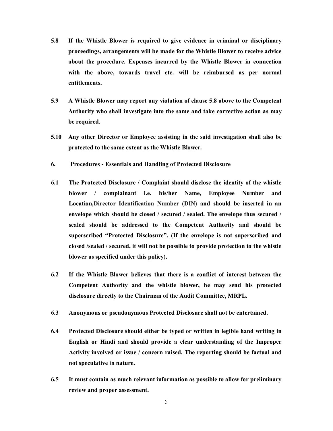- **5.8 If the Whistle Blower is required to give evidence in criminal or disciplinary proceedings, arrangements will be made for the Whistle Blower to receive advice about the procedure. Expenses incurred by the Whistle Blower in connection with the above, towards travel etc. will be reimbursed as per normal entitlements.**
- **5.9 A Whistle Blower may report any violation of clause 5.8 above to the Competent Authority who shall investigate into the same and take corrective action as may be required.**
- **5.10 Any other Director or Employee assisting in the said investigation shall also be protected to the same extent as the Whistle Blower.**

#### **6. Procedures - Essentials and Handling of Protected Disclosure**

- **6.1 The Protected Disclosure / Complaint should disclose the identity of the whistle blower / complainant i.e. his/her Name, Employee Number and Location,Director Identification Number (DIN) and should be inserted in an envelope which should be closed / secured / sealed. The envelope thus secured / sealed should be addressed to the Competent Authority and should be superscribed "Protected Disclosure". (If the envelope is not superscribed and closed /sealed / secured, it will not be possible to provide protection to the whistle blower as specified under this policy).**
- **6.2 If the Whistle Blower believes that there is a conflict of interest between the Competent Authority and the whistle blower, he may send his protected disclosure directly to the Chairman of the Audit Committee, MRPL.**
- **6.3 Anonymous or pseudonymous Protected Disclosure shall not be entertained.**
- **6.4 Protected Disclosure should either be typed or written in legible hand writing in English or Hindi and should provide a clear understanding of the Improper Activity involved or issue / concern raised. The reporting should be factual and not speculative in nature.**
- **6.5 It must contain as much relevant information as possible to allow for preliminary review and proper assessment.**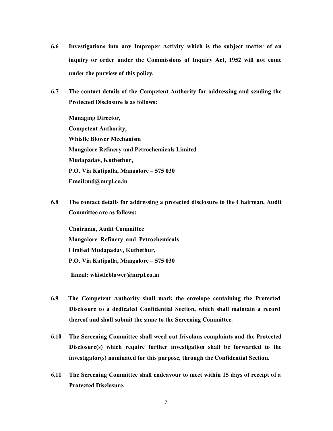- **6.6 Investigations into any Improper Activity which is the subject matter of an inquiry or order under the Commissions of Inquiry Act, 1952 will not come under the purview of this policy.**
- **6.7 The contact details of the Competent Authority for addressing and sending the Protected Disclosure is as follows:**

**Managing Director, Competent Authority, Whistle Blower Mechanism Mangalore Refinery and Petrochemicals Limited Mudapadav, Kuthethur, P.O. Via Katipalla, Mangalore – 575 030 Email:md@mrpl.co.in**

**6.8 The contact details for addressing a protected disclosure to the Chairman, Audit Committee are as follows:** 

**Chairman, Audit Committee Mangalore Refinery and Petrochemicals Limited Mudapadav, Kuthethur, P.O. Via Katipalla, Mangalore – 575 030 Email: whistleblower@mrpl.co.in** 

- **6.9 The Competent Authority shall mark the envelope containing the Protected Disclosure to a dedicated Confidential Section, which shall maintain a record thereof and shall submit the same to the Screening Committee.**
- **6.10 The Screening Committee shall weed out frivolous complaints and the Protected Disclosure(s) which require further investigation shall be forwarded to the investigator(s) nominated for this purpose, through the Confidential Section.**
- **6.11 The Screening Committee shall endeavour to meet within 15 days of receipt of a Protected Disclosure.**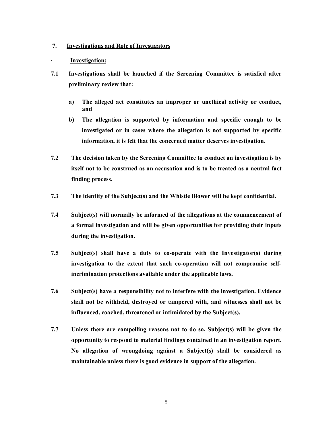#### **7. Investigations and Role of Investigators**

#### · **Investigation:**

- **7.1 Investigations shall be launched if the Screening Committee is satisfied after preliminary review that:**
	- **a) The alleged act constitutes an improper or unethical activity or conduct, and**
	- **b) The allegation is supported by information and specific enough to be investigated or in cases where the allegation is not supported by specific information, it is felt that the concerned matter deserves investigation.**
- **7.2 The decision taken by the Screening Committee to conduct an investigation is by itself not to be construed as an accusation and is to be treated as a neutral fact finding process.**
- **7.3 The identity of the Subject(s) and the Whistle Blower will be kept confidential.**
- **7.4 Subject(s) will normally be informed of the allegations at the commencement of a formal investigation and will be given opportunities for providing their inputs during the investigation.**
- **7.5 Subject(s) shall have a duty to co-operate with the Investigator(s) during investigation to the extent that such co-operation will not compromise selfincrimination protections available under the applicable laws.**
- **7.6 Subject(s) have a responsibility not to interfere with the investigation. Evidence shall not be withheld, destroyed or tampered with, and witnesses shall not be influenced, coached, threatened or intimidated by the Subject(s).**
- **7.7 Unless there are compelling reasons not to do so, Subject(s) will be given the opportunity to respond to material findings contained in an investigation report. No allegation of wrongdoing against a Subject(s) shall be considered as maintainable unless there is good evidence in support of the allegation.**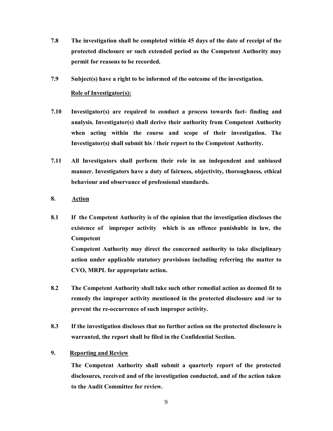- **7.8 The investigation shall be completed within 45 days of the date of receipt of the protected disclosure or such extended period as the Competent Authority may permit for reasons to be recorded.**
- **7.9 Subject(s) have a right to be informed of the outcome of the investigation.**

#### **Role of Investigator(s):**

- **7.10 Investigator(s) are required to conduct a process towards fact- finding and analysis. Investigator(s) shall derive their authority from Competent Authority when acting within the course and scope of their investigation. The Investigator(s) shall submit his / their report to the Competent Authority.**
- **7.11 All Investigators shall perform their role in an independent and unbiased manner. Investigators have a duty of fairness, objectivity, thoroughness, ethical behaviour and observance of professional standards.**
- **8. Action**
- **8.1 If the Competent Authority is of the opinion that the investigation discloses the existence of improper activity which is an offence punishable in law, the Competent**

**Competent Authority may direct the concerned authority to take disciplinary action under applicable statutory provisions including referring the matter to CVO, MRPL for appropriate action.**

- **8.2 The Competent Authority shall take such other remedial action as deemed fit to remedy the improper activity mentioned in the protected disclosure and /or to prevent the re-occurrence of such improper activity.**
- **8.3 If the investigation discloses that no further action on the protected disclosure is warranted, the report shall be filed in the Confidential Section.**
- **9. Reporting and Review**

**The Competent Authority shall submit a quarterly report of the protected disclosures, received and of the investigation conducted, and of the action taken to the Audit Committee for review.**